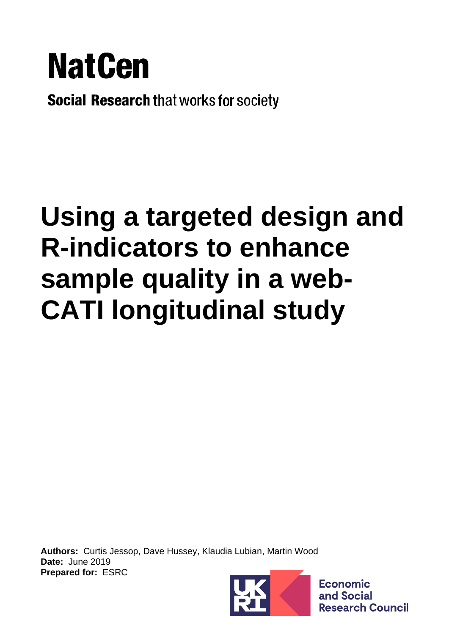

**Social Research that works for society** 

# **Using a targeted design and R-indicators to enhance sample quality in a web-CATI longitudinal study**

**Authors:** Curtis Jessop, Dave Hussey, Klaudia Lubian, Martin Wood **Date:** June 2019 **Prepared for:** ESRC



**Economic** and Social **Research Council**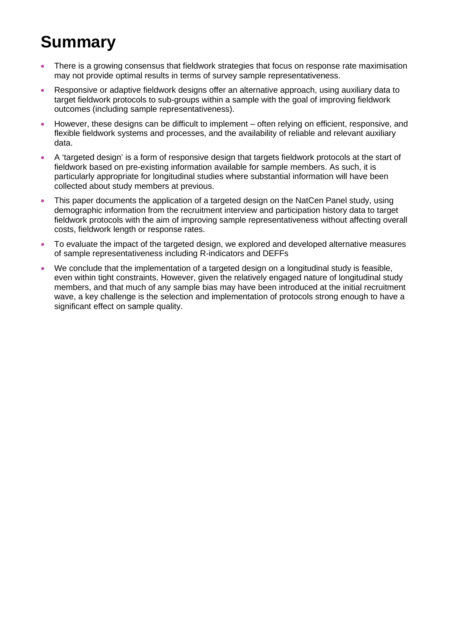# **Summary**

- There is a growing consensus that fieldwork strategies that focus on response rate maximisation may not provide optimal results in terms of survey sample representativeness.
- Responsive or adaptive fieldwork designs offer an alternative approach, using auxiliary data to target fieldwork protocols to sub-groups within a sample with the goal of improving fieldwork outcomes (including sample representativeness).
- However, these designs can be difficult to implement often relying on efficient, responsive, and flexible fieldwork systems and processes, and the availability of reliable and relevant auxiliary data.
- A 'targeted design' is a form of responsive design that targets fieldwork protocols at the start of fieldwork based on pre-existing information available for sample members. As such, it is particularly appropriate for longitudinal studies where substantial information will have been collected about study members at previous.
- This paper documents the application of a targeted design on the NatCen Panel study, using demographic information from the recruitment interview and participation history data to target fieldwork protocols with the aim of improving sample representativeness without affecting overall costs, fieldwork length or response rates.
- To evaluate the impact of the targeted design, we explored and developed alternative measures of sample representativeness including R-indicators and DEFFs
- We conclude that the implementation of a targeted design on a longitudinal study is feasible, even within tight constraints. However, given the relatively engaged nature of longitudinal study members, and that much of any sample bias may have been introduced at the initial recruitment wave, a key challenge is the selection and implementation of protocols strong enough to have a significant effect on sample quality.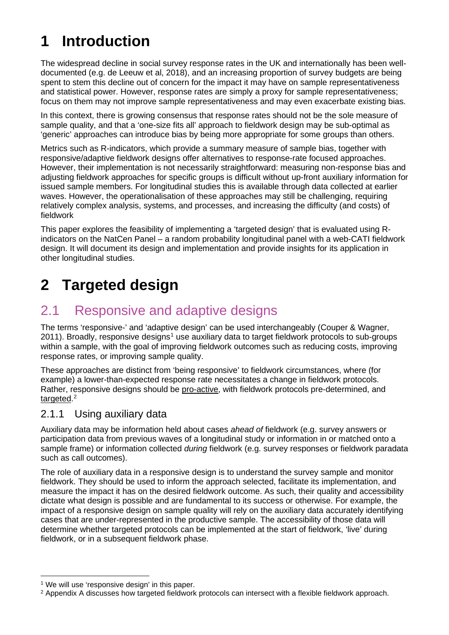# **1 Introduction**

The widespread decline in social survey response rates in the UK and internationally has been welldocumented (e.g. de Leeuw et al, 2018), and an increasing proportion of survey budgets are being spent to stem this decline out of concern for the impact it may have on sample representativeness and statistical power. However, response rates are simply a proxy for sample representativeness; focus on them may not improve sample representativeness and may even exacerbate existing bias.

In this context, there is growing consensus that response rates should not be the sole measure of sample quality, and that a 'one-size fits all' approach to fieldwork design may be sub-optimal as 'generic' approaches can introduce bias by being more appropriate for some groups than others.

Metrics such as R-indicators, which provide a summary measure of sample bias, together with responsive/adaptive fieldwork designs offer alternatives to response-rate focused approaches. However, their implementation is not necessarily straightforward: measuring non-response bias and adjusting fieldwork approaches for specific groups is difficult without up-front auxiliary information for issued sample members. For longitudinal studies this is available through data collected at earlier waves. However, the operationalisation of these approaches may still be challenging, requiring relatively complex analysis, systems, and processes, and increasing the difficulty (and costs) of fieldwork

This paper explores the feasibility of implementing a 'targeted design' that is evaluated using Rindicators on the NatCen Panel – a random probability longitudinal panel with a web-CATI fieldwork design. It will document its design and implementation and provide insights for its application in other longitudinal studies.

# **2 Targeted design**

### 2.1 Responsive and adaptive designs

The terms 'responsive-' and 'adaptive design' can be used interchangeably (Couper & Wagner, 20[1](#page-2-0)1). Broadly, responsive designs<sup>1</sup> use auxiliary data to target fieldwork protocols to sub-groups within a sample, with the goal of improving fieldwork outcomes such as reducing costs, improving response rates, or improving sample quality.

These approaches are distinct from 'being responsive' to fieldwork circumstances, where (for example) a lower-than-expected response rate necessitates a change in fieldwork protocols. Rather, responsive designs should be pro-active, with fieldwork protocols pre-determined, and targeted.<sup>[2](#page-2-1)</sup>

#### 2.1.1 Using auxiliary data

Auxiliary data may be information held about cases *ahead of* fieldwork (e.g. survey answers or participation data from previous waves of a longitudinal study or information in or matched onto a sample frame) or information collected *during* fieldwork (e.g. survey responses or fieldwork paradata such as call outcomes).

The role of auxiliary data in a responsive design is to understand the survey sample and monitor fieldwork. They should be used to inform the approach selected, facilitate its implementation, and measure the impact it has on the desired fieldwork outcome. As such, their quality and accessibility dictate what design is possible and are fundamental to its success or otherwise. For example, the impact of a responsive design on sample quality will rely on the auxiliary data accurately identifying cases that are under-represented in the productive sample. The accessibility of those data will determine whether targeted protocols can be implemented at the start of fieldwork, 'live' during fieldwork, or in a subsequent fieldwork phase.

<span id="page-2-0"></span><sup>&</sup>lt;sup>1</sup> We will use 'responsive design' in this paper.

<span id="page-2-1"></span><sup>&</sup>lt;sup>2</sup> [Appendix A](#page-13-0) discusses how targeted fieldwork protocols can intersect with a flexible fieldwork approach.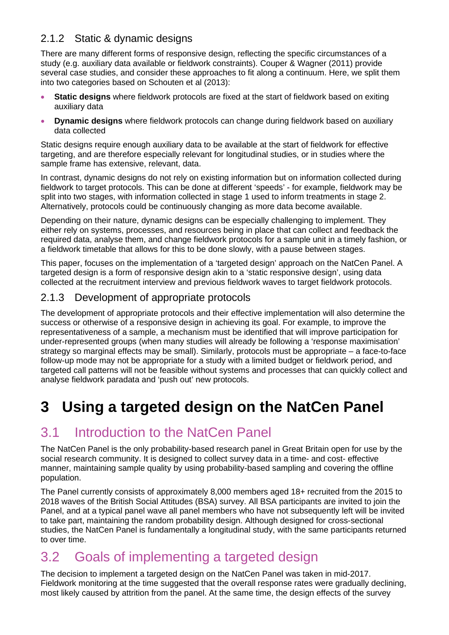#### 2.1.2 Static & dynamic designs

There are many different forms of responsive design, reflecting the specific circumstances of a study (e.g. auxiliary data available or fieldwork constraints). Couper & Wagner (2011) provide several case studies, and consider these approaches to fit along a continuum. Here, we split them into two categories based on Schouten et al (2013):

- **Static designs** where fieldwork protocols are fixed at the start of fieldwork based on exiting auxiliary data
- **Dynamic designs** where fieldwork protocols can change during fieldwork based on auxiliary data collected

Static designs require enough auxiliary data to be available at the start of fieldwork for effective targeting, and are therefore especially relevant for longitudinal studies, or in studies where the sample frame has extensive, relevant, data.

In contrast, dynamic designs do not rely on existing information but on information collected during fieldwork to target protocols. This can be done at different 'speeds' - for example, fieldwork may be split into two stages, with information collected in stage 1 used to inform treatments in stage 2. Alternatively, protocols could be continuously changing as more data become available.

Depending on their nature, dynamic designs can be especially challenging to implement. They either rely on systems, processes, and resources being in place that can collect and feedback the required data, analyse them, and change fieldwork protocols for a sample unit in a timely fashion, or a fieldwork timetable that allows for this to be done slowly, with a pause between stages.

This paper, focuses on the implementation of a 'targeted design' approach on the NatCen Panel. A targeted design is a form of responsive design akin to a 'static responsive design', using data collected at the recruitment interview and previous fieldwork waves to target fieldwork protocols.

#### 2.1.3 Development of appropriate protocols

The development of appropriate protocols and their effective implementation will also determine the success or otherwise of a responsive design in achieving its goal. For example, to improve the representativeness of a sample, a mechanism must be identified that will improve participation for under-represented groups (when many studies will already be following a 'response maximisation' strategy so marginal effects may be small). Similarly, protocols must be appropriate – a face-to-face follow-up mode may not be appropriate for a study with a limited budget or fieldwork period, and targeted call patterns will not be feasible without systems and processes that can quickly collect and analyse fieldwork paradata and 'push out' new protocols.

### **3 Using a targeted design on the NatCen Panel**

### 3.1 Introduction to the NatCen Panel

The NatCen Panel is the only probability-based research panel in Great Britain open for use by the social research community. It is designed to collect survey data in a time- and cost- effective manner, maintaining sample quality by using probability-based sampling and covering the offline population.

The Panel currently consists of approximately 8,000 members aged 18+ recruited from the 2015 to 2018 waves of the British Social Attitudes (BSA) survey. All BSA participants are invited to join the Panel, and at a typical panel wave all panel members who have not subsequently left will be invited to take part, maintaining the random probability design. Although designed for cross-sectional studies, the NatCen Panel is fundamentally a longitudinal study, with the same participants returned to over time.

### 3.2 Goals of implementing a targeted design

The decision to implement a targeted design on the NatCen Panel was taken in mid-2017. Fieldwork monitoring at the time suggested that the overall response rates were gradually declining, most likely caused by attrition from the panel. At the same time, the design effects of the survey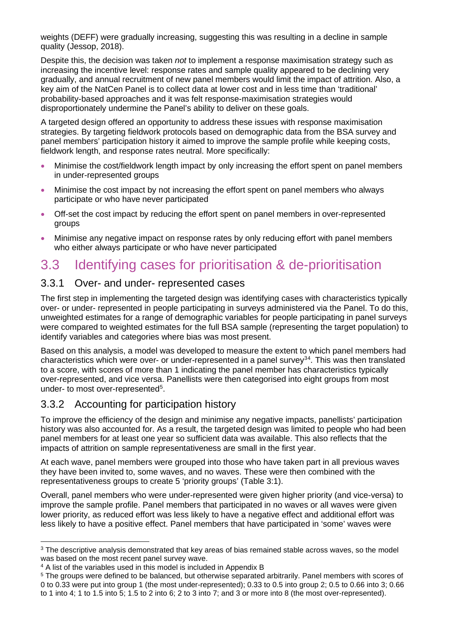weights (DEFF) were gradually increasing, suggesting this was resulting in a decline in sample quality (Jessop, 2018).

Despite this, the decision was taken *not* to implement a response maximisation strategy such as increasing the incentive level: response rates and sample quality appeared to be declining very gradually, and annual recruitment of new panel members would limit the impact of attrition. Also, a key aim of the NatCen Panel is to collect data at lower cost and in less time than 'traditional' probability-based approaches and it was felt response-maximisation strategies would disproportionately undermine the Panel's ability to deliver on these goals.

A targeted design offered an opportunity to address these issues with response maximisation strategies. By targeting fieldwork protocols based on demographic data from the BSA survey and panel members' participation history it aimed to improve the sample profile while keeping costs, fieldwork length, and response rates neutral. More specifically:

- Minimise the cost/fieldwork length impact by only increasing the effort spent on panel members in under-represented groups
- Minimise the cost impact by not increasing the effort spent on panel members who always participate or who have never participated
- Off-set the cost impact by reducing the effort spent on panel members in over-represented groups
- Minimise any negative impact on response rates by only reducing effort with panel members who either always participate or who have never participated

### 3.3 Identifying cases for prioritisation & de-prioritisation

#### 3.3.1 Over- and under- represented cases

The first step in implementing the targeted design was identifying cases with characteristics typically over- or under- represented in people participating in surveys administered via the Panel. To do this, unweighted estimates for a range of demographic variables for people participating in panel surveys were compared to weighted estimates for the full BSA sample (representing the target population) to identify variables and categories where bias was most present.

Based on this analysis, a model was developed to measure the extent to which panel members had characteristics which were over- or under-represented in a panel survey<sup>[3](#page-4-0)[4](#page-4-1)</sup>. This was then translated to a score, with scores of more than 1 indicating the panel member has characteristics typically over-represented, and vice versa. Panellists were then categorised into eight groups from most under- to most over-represented<sup>[5](#page-4-2)</sup>.

#### 3.3.2 Accounting for participation history

To improve the efficiency of the design and minimise any negative impacts, panellists' participation history was also accounted for. As a result, the targeted design was limited to people who had been panel members for at least one year so sufficient data was available. This also reflects that the impacts of attrition on sample representativeness are small in the first year.

At each wave, panel members were grouped into those who have taken part in all previous waves they have been invited to, some waves, and no waves. These were then combined with the representativeness groups to create 5 'priority groups' [\(Table 3:1\)](#page-5-0).

Overall, panel members who were under-represented were given higher priority (and vice-versa) to improve the sample profile. Panel members that participated in no waves or all waves were given lower priority, as reduced effort was less likely to have a negative effect and additional effort was less likely to have a positive effect. Panel members that have participated in 'some' waves were

<span id="page-4-0"></span><sup>&</sup>lt;sup>3</sup> The descriptive analysis demonstrated that key areas of bias remained stable across waves, so the model was based on the most recent panel survey wave.

<span id="page-4-1"></span><sup>4</sup> A list of the variables used in this model is included in [Appendix B](#page-14-0)

<span id="page-4-2"></span><sup>5</sup> The groups were defined to be balanced, but otherwise separated arbitrarily. Panel members with scores of 0 to 0.33 were put into group 1 (the most under-represented); 0.33 to 0.5 into group 2; 0.5 to 0.66 into 3; 0.66 to 1 into 4; 1 to 1.5 into 5; 1.5 to 2 into 6; 2 to 3 into 7; and 3 or more into 8 (the most over-represented).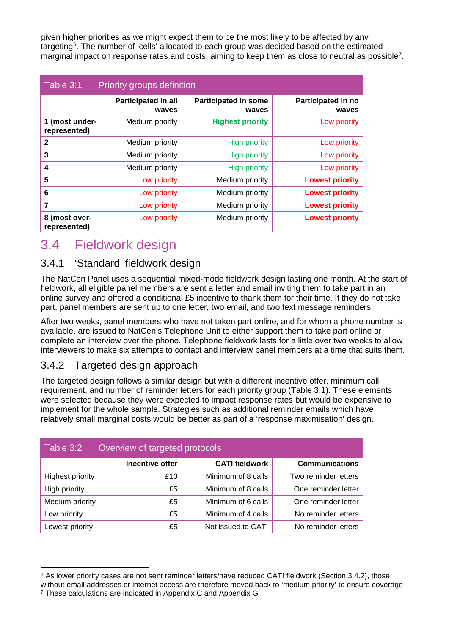given higher priorities as we might expect them to be the most likely to be affected by any targeting<sup>[6](#page-5-2)</sup>. The number of 'cells' allocated to each group was decided based on the estimated marginal impact on response rates and costs, aiming to keep them as close to neutral as possible<sup>[7](#page-5-3)</sup>.

<span id="page-5-0"></span>

| Table 3:1<br>Priority groups definition |                                     |                                      |                                    |  |  |
|-----------------------------------------|-------------------------------------|--------------------------------------|------------------------------------|--|--|
|                                         | <b>Participated in all</b><br>waves | <b>Participated in some</b><br>waves | <b>Participated in no</b><br>waves |  |  |
| 1 (most under-<br>represented)          | Medium priority                     | <b>Highest priority</b>              | Low priority                       |  |  |
| $\mathbf{2}$                            | Medium priority                     | <b>High priority</b>                 | Low priority                       |  |  |
| 3                                       | Medium priority                     | <b>High priority</b>                 | Low priority                       |  |  |
| 4                                       | Medium priority                     | <b>High priority</b>                 | Low priority                       |  |  |
| 5                                       | Low priority                        | Medium priority                      | <b>Lowest priority</b>             |  |  |
| 6                                       | Low priority                        | Medium priority                      | <b>Lowest priority</b>             |  |  |
| 7                                       | Low priority                        | Medium priority                      | <b>Lowest priority</b>             |  |  |
| 8 (most over-<br>represented)           | Low priority                        | Medium priority                      | <b>Lowest priority</b>             |  |  |

### 3.4 Fieldwork design

#### 3.4.1 'Standard' fieldwork design

The NatCen Panel uses a sequential mixed-mode fieldwork design lasting one month. At the start of fieldwork, all eligible panel members are sent a letter and email inviting them to take part in an online survey and offered a conditional £5 incentive to thank them for their time. If they do not take part, panel members are sent up to one letter, two email, and two text message reminders.

After two weeks, panel members who have not taken part online, and for whom a phone number is available, are issued to NatCen's Telephone Unit to either support them to take part online or complete an interview over the phone. Telephone fieldwork lasts for a little over two weeks to allow interviewers to make six attempts to contact and interview panel members at a time that suits them.

#### <span id="page-5-1"></span>3.4.2 Targeted design approach

The targeted design follows a similar design but with a different incentive offer, minimum call requirement, and number of reminder letters for each priority group [\(Table 3:1\)](#page-5-0). These elements were selected because they were expected to impact response rates but would be expensive to implement for the whole sample. Strategies such as additional reminder emails which have relatively small marginal costs would be better as part of a 'response maximisation' design.

| Table 3:2<br>Overview of targeted protocols |                 |                       |                       |  |  |
|---------------------------------------------|-----------------|-----------------------|-----------------------|--|--|
|                                             | Incentive offer | <b>CATI fieldwork</b> | <b>Communications</b> |  |  |
| <b>Highest priority</b>                     | £10             | Minimum of 8 calls    | Two reminder letters  |  |  |
| High priority                               | £5              | Minimum of 8 calls    | One reminder letter   |  |  |
| Medium priority                             | £5              | Minimum of 6 calls    | One reminder letter   |  |  |
| Low priority                                | £5              | Minimum of 4 calls    | No reminder letters   |  |  |
| Lowest priority                             | £5              | Not issued to CATI    | No reminder letters   |  |  |

<span id="page-5-3"></span><span id="page-5-2"></span><sup>&</sup>lt;sup>6</sup> As lower priority cases are not sent reminder letters/have reduced CATI fieldwork (Section [3.4.2\)](#page-5-1), those without email addresses or internet access are therefore moved back to 'medium priority' to ensure coverage <sup>7</sup> These calculations are indicated in [Appendix C](#page-18-0) and [Appendix G](#page-28-0)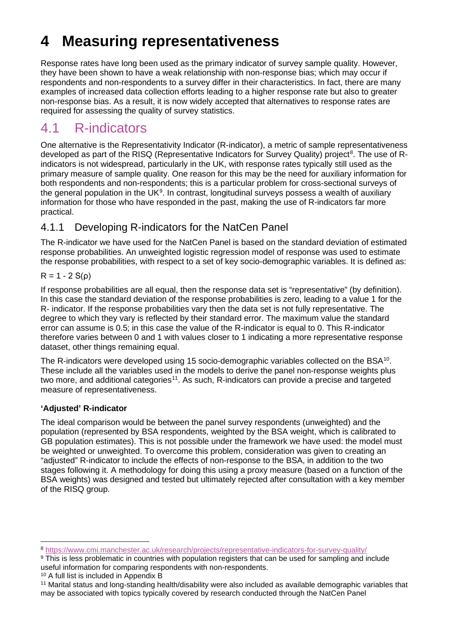# <span id="page-6-6"></span>**4 Measuring representativeness**

Response rates have long been used as the primary indicator of survey sample quality. However, they have been shown to have a weak relationship with non-response bias; which may occur if respondents and non-respondents to a survey differ in their characteristics. In fact, there are many examples of increased data collection efforts leading to a higher response rate but also to greater non-response bias. As a result, it is now widely accepted that alternatives to response rates are required for assessing the quality of survey statistics.

### 4.1 R-indicators

One alternative is the Representativity Indicator (R-indicator), a metric of sample representativeness developed as part of the RISQ (Representative Indicators for Survey Quality) project<sup>[8](#page-6-0)</sup>. The use of Rindicators is not widespread, particularly in the UK, with response rates typically still used as the primary measure of sample quality. One reason for this may be the need for auxiliary information for both respondents and non-respondents; this is a particular problem for cross-sectional surveys of the general population in the UK $^{\circ}$ . In contrast, longitudinal surveys possess a wealth of auxiliary information for those who have responded in the past, making the use of R-indicators far more practical.

#### <span id="page-6-5"></span>4.1.1 Developing R-indicators for the NatCen Panel

The R-indicator we have used for the NatCen Panel is based on the standard deviation of estimated response probabilities. An unweighted logistic regression model of response was used to estimate the response probabilities, with respect to a set of key socio-demographic variables. It is defined as:

#### $R = 1 - 2 S(ρ)$

If response probabilities are all equal, then the response data set is "representative" (by definition). In this case the standard deviation of the response probabilities is zero, leading to a value 1 for the R- indicator. If the response probabilities vary then the data set is not fully representative. The degree to which they vary is reflected by their standard error. The maximum value the standard error can assume is 0.5; in this case the value of the R-indicator is equal to 0. This R-indicator therefore varies between 0 and 1 with values closer to 1 indicating a more representative response dataset, other things remaining equal.

The R-indicators were developed using 15 socio-demographic variables collected on the BSA<sup>[10](#page-6-2)</sup>. These include all the variables used in the models to derive the panel non-response weights plus two more, and additional categories<sup>11</sup>. As such, R-indicators can provide a precise and targeted measure of representativeness.

#### **'Adjusted' R-indicator**

The ideal comparison would be between the panel survey respondents (unweighted) and the population (represented by BSA respondents, weighted by the BSA weight, which is calibrated to GB population estimates). This is not possible under the framework we have used: the model must be weighted or unweighted. To overcome this problem, consideration was given to creating an "adjusted" R-indicator to include the effects of non-response to the BSA, in addition to the two stages following it. A methodology for doing this using a proxy measure (based on a function of the BSA weights) was designed and tested but ultimately rejected after consultation with a key member of the RISQ group.

<span id="page-6-4"></span><span id="page-6-0"></span><sup>8</sup> <https://www.cmi.manchester.ac.uk/research/projects/representative-indicators-for-survey-quality/>

<span id="page-6-1"></span><sup>9</sup> This is less problematic in countries with population registers that can be used for sampling and include useful information for comparing respondents with non-respondents.

<span id="page-6-2"></span><sup>10</sup> A full list is included in [Appendix B](#page-14-0)

<span id="page-6-3"></span><sup>11</sup> Marital status and long-standing health/disability were also included as available demographic variables that may be associated with topics typically covered by research conducted through the NatCen Panel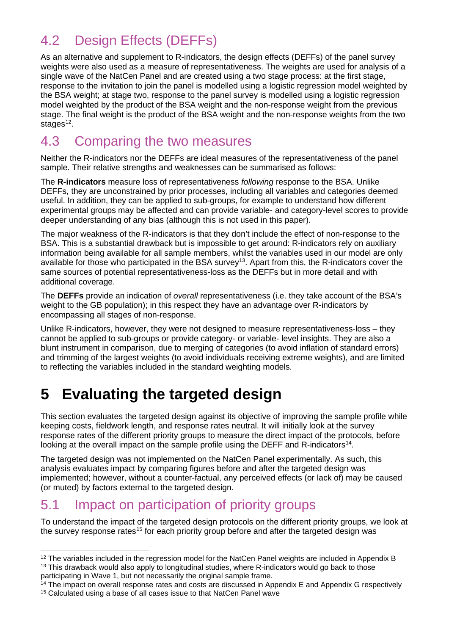### 4.2 Design Effects (DEFFs)

As an alternative and supplement to R-indicators, the design effects (DEFFs) of the panel survey weights were also used as a measure of representativeness. The weights are used for analysis of a single wave of the NatCen Panel and are created using a two stage process: at the first stage, response to the invitation to join the panel is modelled using a logistic regression model weighted by the BSA weight; at stage two, response to the panel survey is modelled using a logistic regression model weighted by the product of the BSA weight and the non-response weight from the previous stage. The final weight is the product of the BSA weight and the non-response weights from the two stages $12$ .

### 4.3 Comparing the two measures

Neither the R-indicators nor the DEFFs are ideal measures of the representativeness of the panel sample. Their relative strengths and weaknesses can be summarised as follows:

The **R-indicators** measure loss of representativeness *following* response to the BSA. Unlike DEFFs, they are unconstrained by prior processes, including all variables and categories deemed useful. In addition, they can be applied to sub-groups, for example to understand how different experimental groups may be affected and can provide variable- and category-level scores to provide deeper understanding of any bias (although this is not used in this paper).

The major weakness of the R-indicators is that they don't include the effect of non-response to the BSA. This is a substantial drawback but is impossible to get around: R-indicators rely on auxiliary information being available for all sample members, whilst the variables used in our model are only available for those who participated in the BSA survey<sup>13</sup>. Apart from this, the R-indicators cover the same sources of potential representativeness-loss as the DEFFs but in more detail and with additional coverage.

The **DEFFs** provide an indication of *overall* representativeness (i.e. they take account of the BSA's weight to the GB population); in this respect they have an advantage over R-indicators by encompassing all stages of non-response.

Unlike R-indicators, however, they were not designed to measure representativeness-loss – they cannot be applied to sub-groups or provide category- or variable- level insights. They are also a blunt instrument in comparison, due to merging of categories (to avoid inflation of standard errors) and trimming of the largest weights (to avoid individuals receiving extreme weights), and are limited to reflecting the variables included in the standard weighting models.

# <span id="page-7-4"></span>**5 Evaluating the targeted design**

This section evaluates the targeted design against its objective of improving the sample profile while keeping costs, fieldwork length, and response rates neutral. It will initially look at the survey response rates of the different priority groups to measure the direct impact of the protocols, before looking at the overall impact on the sample profile using the DEFF and R-indicators<sup>[14](#page-7-2)</sup>.

The targeted design was not implemented on the NatCen Panel experimentally. As such, this analysis evaluates impact by comparing figures before and after the targeted design was implemented; however, without a counter-factual, any perceived effects (or lack of) may be caused (or muted) by factors external to the targeted design.

### <span id="page-7-5"></span>5.1 Impact on participation of priority groups

To understand the impact of the targeted design protocols on the different priority groups, we look at the survey response rates<sup>[15](#page-7-3)</sup> for each priority group before and after the targeted design was

<span id="page-7-1"></span><span id="page-7-0"></span><sup>&</sup>lt;sup>12</sup> The variables included in the regression model for the NatCen Panel weights are included in [Appendix B](#page-14-0) <sup>13</sup> This drawback would also apply to longitudinal studies, where R-indicators would go back to those participating in Wave 1, but not necessarily the original sample frame.

<span id="page-7-3"></span><span id="page-7-2"></span><sup>&</sup>lt;sup>14</sup> The impact on overall response rates and costs are discussed in [Appendix E](#page-26-0) and [Appendix G](#page-28-0) respectively <sup>15</sup> Calculated using a base of all cases issue to that NatCen Panel wave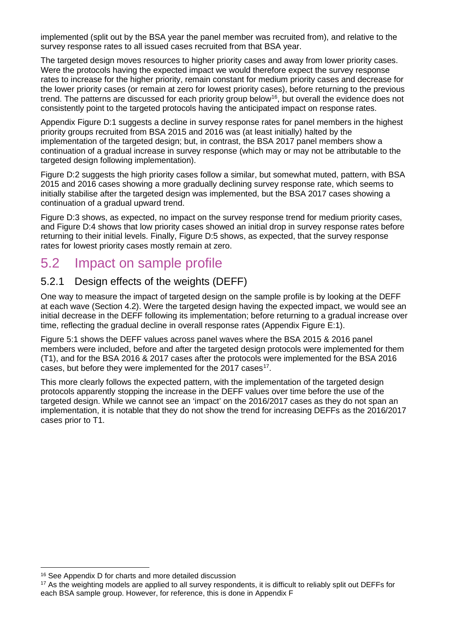implemented (split out by the BSA year the panel member was recruited from), and relative to the survey response rates to all issued cases recruited from that BSA year.

The targeted design moves resources to higher priority cases and away from lower priority cases. Were the protocols having the expected impact we would therefore expect the survey response rates to increase for the higher priority, remain constant for medium priority cases and decrease for the lower priority cases (or remain at zero for lowest priority cases), before returning to the previous trend. The patterns are discussed for each priority group below<sup>16</sup>, but overall the evidence does not consistently point to the targeted protocols having the anticipated impact on response rates.

Appendix Figure D:1 suggests a decline in survey response rates for panel members in the highest priority groups recruited from BSA 2015 and 2016 was (at least initially) halted by the implementation of the targeted design; but, in contrast, the BSA 2017 panel members show a continuation of a gradual increase in survey response (which may or may not be attributable to the targeted design following implementation).

Figure D:2 suggests the high priority cases follow a similar, but somewhat muted, pattern, with BSA 2015 and 2016 cases showing a more gradually declining survey response rate, which seems to initially stabilise after the targeted design was implemented, but the BSA 2017 cases showing a continuation of a gradual upward trend.

Figure D:3 shows, as expected, no impact on the survey response trend for medium priority cases, and Figure D:4 shows that low priority cases showed an initial drop in survey response rates before returning to their initial levels. Finally, Figure D:5 shows, as expected, that the survey response rates for lowest priority cases mostly remain at zero.

### 5.2 Impact on sample profile

#### <span id="page-8-3"></span>5.2.1 Design effects of the weights (DEFF)

One way to measure the impact of targeted design on the sample profile is by looking at the DEFF at each wave (Section [4.2\)](#page-6-4). Were the targeted design having the expected impact, we would see an initial decrease in the DEFF following its implementation; before returning to a gradual increase over time, reflecting the gradual decline in overall response rates (Appendix Figure E:1).

[Figure 5:1](#page-8-0) shows the DEFF values across panel waves where the BSA 2015 & 2016 panel members were included, before and after the targeted design protocols were implemented for them (T1), and for the BSA 2016 & 2017 cases after the protocols were implemented for the BSA 2016 cases, but before they were implemented for the 20[17](#page-8-2) cases<sup>17</sup>.

<span id="page-8-0"></span>This more clearly follows the expected pattern, with the implementation of the targeted design protocols apparently stopping the increase in the DEFF values over time before the use of the targeted design. While we cannot see an 'impact' on the 2016/2017 cases as they do not span an implementation, it is notable that they do not show the trend for increasing DEFFs as the 2016/2017 cases prior to T1.

<span id="page-8-1"></span><sup>16</sup> See [Appendix D](#page-20-0) for charts and more detailed discussion

<span id="page-8-2"></span><sup>&</sup>lt;sup>17</sup> As the weighting models are applied to all survey respondents, it is difficult to reliably split out DEFFs for each BSA sample group. However, for reference, this is done in [Appendix F](#page-27-0)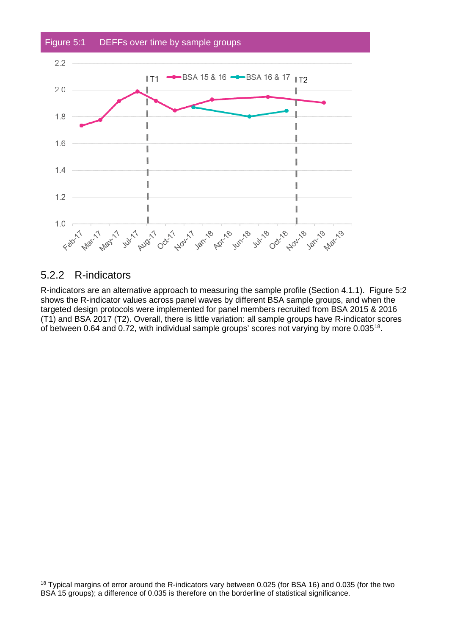

#### 5.2.2 R-indicators

<span id="page-9-0"></span>R-indicators are an alternative approach to measuring the sample profile (Section [4.1.1\)](#page-6-5). [Figure 5:2](#page-9-0) shows the R-indicator values across panel waves by different BSA sample groups, and when the targeted design protocols were implemented for panel members recruited from BSA 2015 & 2016 (T1) and BSA 2017 (T2). Overall, there is little variation: all sample groups have R-indicator scores of between 0.64 and 0.72, with individual sample groups' scores not varying by more 0.035[18](#page-9-1).

<span id="page-9-1"></span><sup>18</sup> Typical margins of error around the R-indicators vary between 0.025 (for BSA 16) and 0.035 (for the two BSA 15 groups); a difference of 0.035 is therefore on the borderline of statistical significance.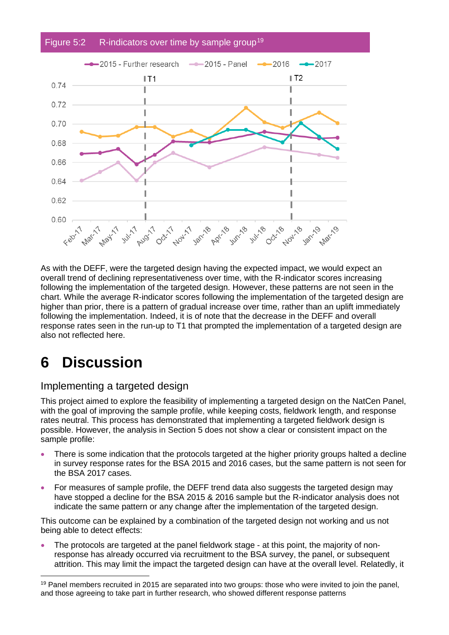

As with the DEFF, were the targeted design having the expected impact, we would expect an overall trend of declining representativeness over time, with the R-indicator scores increasing following the implementation of the targeted design. However, these patterns are not seen in the chart. While the average R-indicator scores following the implementation of the targeted design are higher than prior, there is a pattern of gradual increase over time, rather than an uplift immediately following the implementation. Indeed, it is of note that the decrease in the DEFF and overall response rates seen in the run-up to T1 that prompted the implementation of a targeted design are also not reflected here.

### **6 Discussion**

#### Implementing a targeted design

This project aimed to explore the feasibility of implementing a targeted design on the NatCen Panel, with the goal of improving the sample profile, while keeping costs, fieldwork length, and response rates neutral. This process has demonstrated that implementing a targeted fieldwork design is possible. However, the analysis in Section [5](#page-7-4) does not show a clear or consistent impact on the sample profile:

- There is some indication that the protocols targeted at the higher priority groups halted a decline in survey response rates for the BSA 2015 and 2016 cases, but the same pattern is not seen for the BSA 2017 cases.
- For measures of sample profile, the DEFF trend data also suggests the targeted design may have stopped a decline for the BSA 2015 & 2016 sample but the R-indicator analysis does not indicate the same pattern or any change after the implementation of the targeted design.

This outcome can be explained by a combination of the targeted design not working and us not being able to detect effects:

• The protocols are targeted at the panel fieldwork stage - at this point, the majority of nonresponse has already occurred via recruitment to the BSA survey, the panel, or subsequent attrition. This may limit the impact the targeted design can have at the overall level. Relatedly, it

<span id="page-10-0"></span><sup>&</sup>lt;sup>19</sup> Panel members recruited in 2015 are separated into two groups: those who were invited to join the panel. and those agreeing to take part in further research, who showed different response patterns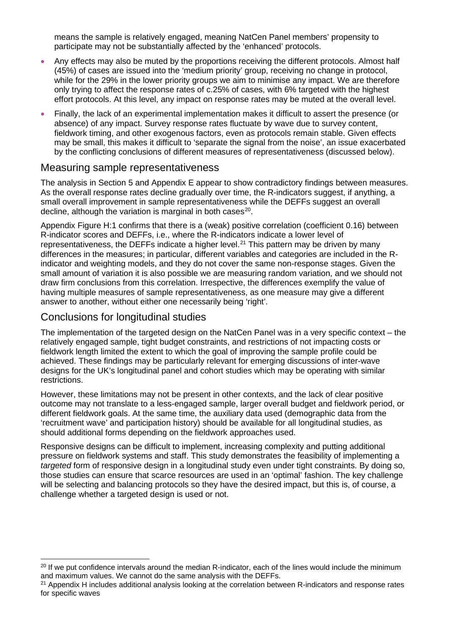means the sample is relatively engaged, meaning NatCen Panel members' propensity to participate may not be substantially affected by the 'enhanced' protocols.

- Any effects may also be muted by the proportions receiving the different protocols. Almost half (45%) of cases are issued into the 'medium priority' group, receiving no change in protocol, while for the 29% in the lower priority groups we aim to minimise any impact. We are therefore only trying to affect the response rates of c.25% of cases, with 6% targeted with the highest effort protocols. At this level, any impact on response rates may be muted at the overall level.
- Finally, the lack of an experimental implementation makes it difficult to assert the presence (or absence) of any impact. Survey response rates fluctuate by wave due to survey content, fieldwork timing, and other exogenous factors, even as protocols remain stable. Given effects may be small, this makes it difficult to 'separate the signal from the noise', an issue exacerbated by the conflicting conclusions of different measures of representativeness (discussed below).

#### Measuring sample representativeness

The analysis in Section [5](#page-7-4) and [Appendix E](#page-26-0) appear to show contradictory findings between measures. As the overall response rates decline gradually over time, the R-indicators suggest, if anything, a small overall improvement in sample representativeness while the DEFFs suggest an overall decline, although the variation is marginal in both cases $20$ .

Appendix Figure H:1 confirms that there is a (weak) positive correlation (coefficient 0.16) between R-indicator scores and DEFFs, i.e., where the R-indicators indicate a lower level of representativeness, the DEFFs indicate a higher level.<sup>[21](#page-11-1)</sup> This pattern may be driven by many differences in the measures; in particular, different variables and categories are included in the Rindicator and weighting models, and they do not cover the same non-response stages. Given the small amount of variation it is also possible we are measuring random variation, and we should not draw firm conclusions from this correlation. Irrespective, the differences exemplify the value of having multiple measures of sample representativeness, as one measure may give a different answer to another, without either one necessarily being 'right'.

#### Conclusions for longitudinal studies

The implementation of the targeted design on the NatCen Panel was in a very specific context – the relatively engaged sample, tight budget constraints, and restrictions of not impacting costs or fieldwork length limited the extent to which the goal of improving the sample profile could be achieved. These findings may be particularly relevant for emerging discussions of inter-wave designs for the UK's longitudinal panel and cohort studies which may be operating with similar restrictions.

However, these limitations may not be present in other contexts, and the lack of clear positive outcome may not translate to a less-engaged sample, larger overall budget and fieldwork period, or different fieldwork goals. At the same time, the auxiliary data used (demographic data from the 'recruitment wave' and participation history) should be available for all longitudinal studies, as should additional forms depending on the fieldwork approaches used.

Responsive designs can be difficult to implement, increasing complexity and putting additional pressure on fieldwork systems and staff. This study demonstrates the feasibility of implementing a *targeted* form of responsive design in a longitudinal study even under tight constraints. By doing so, those studies can ensure that scarce resources are used in an 'optimal' fashion. The key challenge will be selecting and balancing protocols so they have the desired impact, but this is, of course, a challenge whether a targeted design is used or not.

<span id="page-11-0"></span><sup>&</sup>lt;sup>20</sup> If we put confidence intervals around the median R-indicator, each of the lines would include the minimum and maximum values. We cannot do the same analysis with the DEFFs.

<span id="page-11-1"></span><sup>&</sup>lt;sup>21</sup> Appendix H includes additional analysis looking at the correlation between R-indicators and response rates for specific waves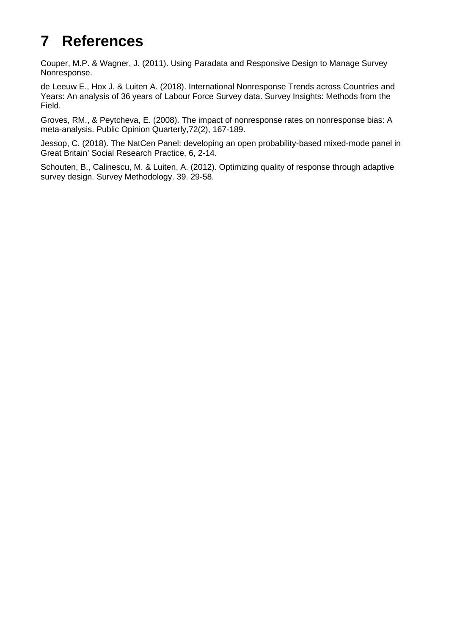# **7 References**

Couper, M.P. & Wagner, J. (2011). Using Paradata and Responsive Design to Manage Survey Nonresponse.

de Leeuw E., Hox J. & Luiten A. (2018). International Nonresponse Trends across Countries and Years: An analysis of 36 years of Labour Force Survey data. Survey Insights: Methods from the Field.

Groves, RM., & Peytcheva, E. (2008). The impact of nonresponse rates on nonresponse bias: A meta-analysis. Public Opinion Quarterly,72(2), 167-189.

Jessop, C. (2018). The NatCen Panel: developing an open probability-based mixed-mode panel in Great Britain' Social Research Practice, 6, 2-14.

Schouten, B., Calinescu, M. & Luiten, A. (2012). Optimizing quality of response through adaptive survey design. Survey Methodology. 39. 29-58.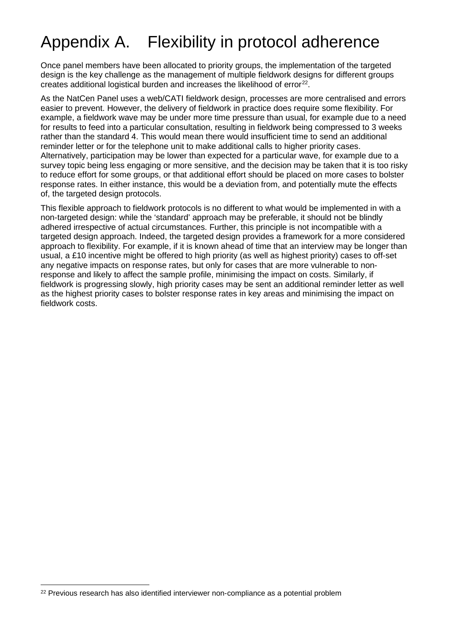# <span id="page-13-0"></span>Appendix A. Flexibility in protocol adherence

Once panel members have been allocated to priority groups, the implementation of the targeted design is the key challenge as the management of multiple fieldwork designs for different groups creates additional logistical burden and increases the likelihood of error<sup>[22](#page-13-1)</sup>.

As the NatCen Panel uses a web/CATI fieldwork design, processes are more centralised and errors easier to prevent. However, the delivery of fieldwork in practice does require some flexibility. For example, a fieldwork wave may be under more time pressure than usual, for example due to a need for results to feed into a particular consultation, resulting in fieldwork being compressed to 3 weeks rather than the standard 4. This would mean there would insufficient time to send an additional reminder letter or for the telephone unit to make additional calls to higher priority cases. Alternatively, participation may be lower than expected for a particular wave, for example due to a survey topic being less engaging or more sensitive, and the decision may be taken that it is too risky to reduce effort for some groups, or that additional effort should be placed on more cases to bolster response rates. In either instance, this would be a deviation from, and potentially mute the effects of, the targeted design protocols.

This flexible approach to fieldwork protocols is no different to what would be implemented in with a non-targeted design: while the 'standard' approach may be preferable, it should not be blindly adhered irrespective of actual circumstances. Further, this principle is not incompatible with a targeted design approach. Indeed, the targeted design provides a framework for a more considered approach to flexibility. For example, if it is known ahead of time that an interview may be longer than usual, a £10 incentive might be offered to high priority (as well as highest priority) cases to off-set any negative impacts on response rates, but only for cases that are more vulnerable to nonresponse and likely to affect the sample profile, minimising the impact on costs. Similarly, if fieldwork is progressing slowly, high priority cases may be sent an additional reminder letter as well as the highest priority cases to bolster response rates in key areas and minimising the impact on fieldwork costs.

<span id="page-13-1"></span> $22$  Previous research has also identified interviewer non-compliance as a potential problem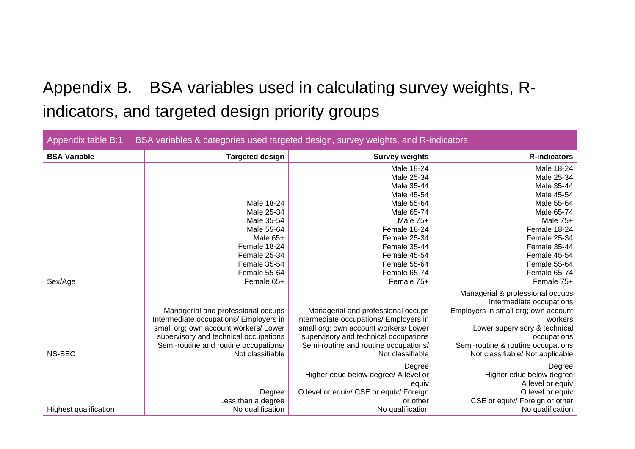# Appendix B. BSA variables used in calculating survey weights, Rindicators, and targeted design priority groups

<span id="page-14-0"></span>

| BSA variables & categories used targeted design, survey weights, and R-indicators<br>Appendix table B:1 |                                        |                                         |                                     |  |  |
|---------------------------------------------------------------------------------------------------------|----------------------------------------|-----------------------------------------|-------------------------------------|--|--|
| <b>BSA Variable</b>                                                                                     | <b>Targeted design</b>                 | <b>Survey weights</b>                   | <b>R-indicators</b>                 |  |  |
|                                                                                                         |                                        | Male 18-24                              | Male 18-24                          |  |  |
|                                                                                                         |                                        | Male 25-34                              | Male 25-34                          |  |  |
|                                                                                                         |                                        | Male 35-44                              | Male 35-44                          |  |  |
|                                                                                                         |                                        | Male 45-54                              | Male 45-54                          |  |  |
|                                                                                                         | Male 18-24                             | Male 55-64                              | Male 55-64                          |  |  |
|                                                                                                         | Male 25-34                             | Male 65-74                              | Male 65-74                          |  |  |
|                                                                                                         | Male 35-54                             | Male 75+                                | Male 75+                            |  |  |
|                                                                                                         | Male 55-64                             | Female 18-24                            | Female 18-24                        |  |  |
|                                                                                                         | Male 65+                               | Female 25-34                            | Female 25-34                        |  |  |
|                                                                                                         | Female 18-24                           | Female 35-44                            | Female 35-44                        |  |  |
|                                                                                                         | Female 25-34                           | Female 45-54                            | Female 45-54                        |  |  |
|                                                                                                         | Female 35-54                           | Female 55-64                            | Female 55-64                        |  |  |
|                                                                                                         | Female 55-64                           | Female 65-74                            | Female 65-74                        |  |  |
| Sex/Age                                                                                                 | Female 65+                             | Female 75+                              | Female 75+                          |  |  |
|                                                                                                         |                                        |                                         | Managerial & professional occups    |  |  |
|                                                                                                         |                                        |                                         | Intermediate occupations            |  |  |
|                                                                                                         | Managerial and professional occups     | Managerial and professional occups      | Employers in small org; own account |  |  |
|                                                                                                         | Intermediate occupations/ Employers in | Intermediate occupations/ Employers in  | workers                             |  |  |
|                                                                                                         | small org; own account workers/ Lower  | small org; own account workers/ Lower   | Lower supervisory & technical       |  |  |
|                                                                                                         | supervisory and technical occupations  | supervisory and technical occupations   | occupations                         |  |  |
|                                                                                                         | Semi-routine and routine occupations/  | Semi-routine and routine occupations/   | Semi-routine & routine occupations  |  |  |
| NS-SEC                                                                                                  | Not classifiable                       | Not classifiable                        | Not classifiable/ Not applicable    |  |  |
|                                                                                                         |                                        | Degree                                  | Degree                              |  |  |
|                                                                                                         |                                        | Higher educ below degree/ A level or    | Higher educ below degree            |  |  |
|                                                                                                         |                                        | equiv                                   | A level or equiv                    |  |  |
|                                                                                                         | Degree                                 | O level or equiv/ CSE or equiv/ Foreign | O level or equiv                    |  |  |
|                                                                                                         | Less than a degree                     | or other                                | CSE or equiv/ Foreign or other      |  |  |
| <b>Highest qualification</b>                                                                            | No qualification                       | No qualification                        | No qualification                    |  |  |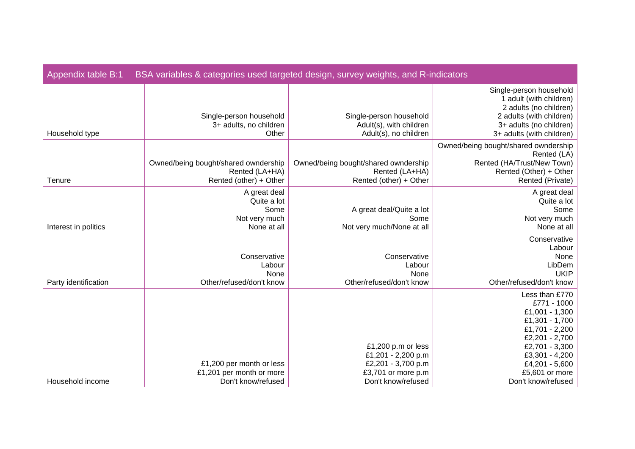| Appendix table B:1<br>BSA variables & categories used targeted design, survey weights, and R-indicators |                                                                                  |                                                                                      |                                                                                                                                                                  |  |  |
|---------------------------------------------------------------------------------------------------------|----------------------------------------------------------------------------------|--------------------------------------------------------------------------------------|------------------------------------------------------------------------------------------------------------------------------------------------------------------|--|--|
| Household type                                                                                          | Single-person household<br>3+ adults, no children<br>Other                       | Single-person household<br>Adult(s), with children<br>Adult(s), no children          | Single-person household<br>1 adult (with children)<br>2 adults (no children)<br>2 adults (with children)<br>3+ adults (no children)<br>3+ adults (with children) |  |  |
| Tenure                                                                                                  | Owned/being bought/shared owndership<br>Rented (LA+HA)<br>Rented (other) + Other | Owned/being bought/shared owndership<br>Rented (LA+HA)<br>Rented (other) + Other     | Owned/being bought/shared owndership<br>Rented (LA)<br>Rented (HA/Trust/New Town)<br>Rented (Other) + Other<br>Rented (Private)                                  |  |  |
| Interest in politics                                                                                    | A great deal<br>Quite a lot<br>Some<br>Not very much<br>None at all              | A great deal/Quite a lot<br>Some<br>Not very much/None at all                        | A great deal<br>Quite a lot<br>Some<br>Not very much<br>None at all                                                                                              |  |  |
| Party identification                                                                                    | Conservative<br>Labour<br>None<br>Other/refused/don't know                       | Conservative<br>Labour<br>None<br>Other/refused/don't know                           | Conservative<br>Labour<br>None<br>LibDem<br><b>UKIP</b><br>Other/refused/don't know                                                                              |  |  |
|                                                                                                         |                                                                                  | £1,200 p.m or less                                                                   | Less than £770<br>£771 - 1000<br>£1,001 - 1,300<br>£1,301 - 1,700<br>£1,701 - 2,200<br>£2,201 - 2,700<br>£2,701 - 3,300                                          |  |  |
| Household income                                                                                        | £1,200 per month or less<br>£1,201 per month or more<br>Don't know/refused       | £1,201 - 2,200 p.m<br>£2,201 - 3,700 p.m<br>£3,701 or more p.m<br>Don't know/refused | £3,301 - 4,200<br>£4,201 - 5,600<br>£5,601 or more<br>Don't know/refused                                                                                         |  |  |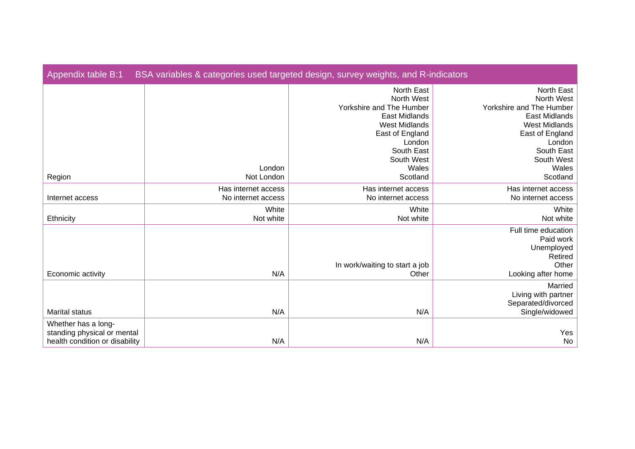| Appendix table B:1                                                                   | BSA variables & categories used targeted design, survey weights, and R-indicators |                                                                                                                                                        |                                                                                                                                                               |  |  |
|--------------------------------------------------------------------------------------|-----------------------------------------------------------------------------------|--------------------------------------------------------------------------------------------------------------------------------------------------------|---------------------------------------------------------------------------------------------------------------------------------------------------------------|--|--|
|                                                                                      |                                                                                   | North East<br>North West<br>Yorkshire and The Humber<br>East Midlands<br><b>West Midlands</b><br>East of England<br>London<br>South East<br>South West | North East<br>North West<br>Yorkshire and The Humber<br><b>East Midlands</b><br><b>West Midlands</b><br>East of England<br>London<br>South East<br>South West |  |  |
| Region                                                                               | London<br>Not London                                                              | Wales<br>Scotland                                                                                                                                      | Wales<br>Scotland                                                                                                                                             |  |  |
| Internet access                                                                      | Has internet access<br>No internet access                                         | Has internet access<br>No internet access                                                                                                              | Has internet access<br>No internet access                                                                                                                     |  |  |
| Ethnicity                                                                            | White<br>Not white                                                                | White<br>Not white                                                                                                                                     | White<br>Not white                                                                                                                                            |  |  |
| Economic activity                                                                    | N/A                                                                               | In work/waiting to start a job<br>Other                                                                                                                | Full time education<br>Paid work<br>Unemployed<br>Retired<br>Other<br>Looking after home                                                                      |  |  |
| <b>Marital status</b>                                                                | N/A                                                                               | N/A                                                                                                                                                    | Married<br>Living with partner<br>Separated/divorced<br>Single/widowed                                                                                        |  |  |
| Whether has a long-<br>standing physical or mental<br>health condition or disability | N/A                                                                               | N/A                                                                                                                                                    | Yes<br>No                                                                                                                                                     |  |  |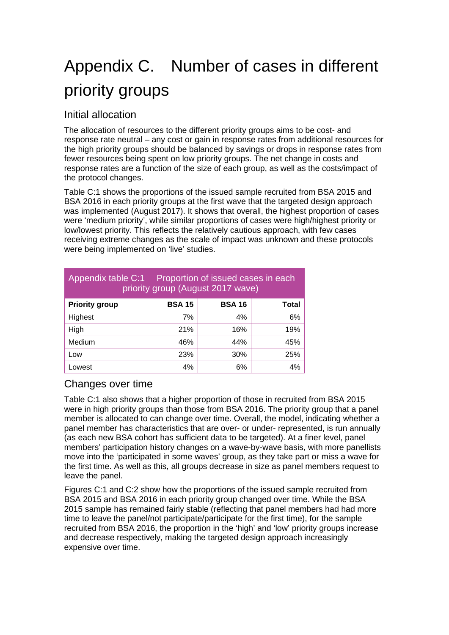# <span id="page-18-0"></span>Appendix C. Number of cases in different priority groups

#### Initial allocation

The allocation of resources to the different priority groups aims to be cost- and response rate neutral – any cost or gain in response rates from additional resources for the high priority groups should be balanced by savings or drops in response rates from fewer resources being spent on low priority groups. The net change in costs and response rates are a function of the size of each group, as well as the costs/impact of the protocol changes.

Table C:1 shows the proportions of the issued sample recruited from BSA 2015 and BSA 2016 in each priority groups at the first wave that the targeted design approach was implemented (August 2017). It shows that overall, the highest proportion of cases were 'medium priority', while similar proportions of cases were high/highest priority or low/lowest priority. This reflects the relatively cautious approach, with few cases receiving extreme changes as the scale of impact was unknown and these protocols were being implemented on 'live' studies.

| Appendix table C:1<br>Proportion of issued cases in each<br>priority group (August 2017 wave) |     |     |     |  |  |  |
|-----------------------------------------------------------------------------------------------|-----|-----|-----|--|--|--|
| <b>BSA 16</b><br><b>Priority group</b><br><b>BSA 15</b><br>Total                              |     |     |     |  |  |  |
| Highest                                                                                       | 7%  | 4%  | 6%  |  |  |  |
| High                                                                                          | 21% | 16% | 19% |  |  |  |
| Medium                                                                                        | 46% | 44% | 45% |  |  |  |
| Low                                                                                           | 23% | 30% | 25% |  |  |  |
| Lowest                                                                                        | 4%  | 6%  | 4%  |  |  |  |

#### Changes over time

Table C:1 also shows that a higher proportion of those in recruited from BSA 2015 were in high priority groups than those from BSA 2016. The priority group that a panel member is allocated to can change over time. Overall, the model, indicating whether a panel member has characteristics that are over- or under- represented, is run annually (as each new BSA cohort has sufficient data to be targeted). At a finer level, panel members' participation history changes on a wave-by-wave basis, with more panellists move into the 'participated in some waves' group, as they take part or miss a wave for the first time. As well as this, all groups decrease in size as panel members request to leave the panel.

Figures C:1 and C:2 show how the proportions of the issued sample recruited from BSA 2015 and BSA 2016 in each priority group changed over time. While the BSA 2015 sample has remained fairly stable (reflecting that panel members had had more time to leave the panel/not participate/participate for the first time), for the sample recruited from BSA 2016, the proportion in the 'high' and 'low' priority groups increase and decrease respectively, making the targeted design approach increasingly expensive over time.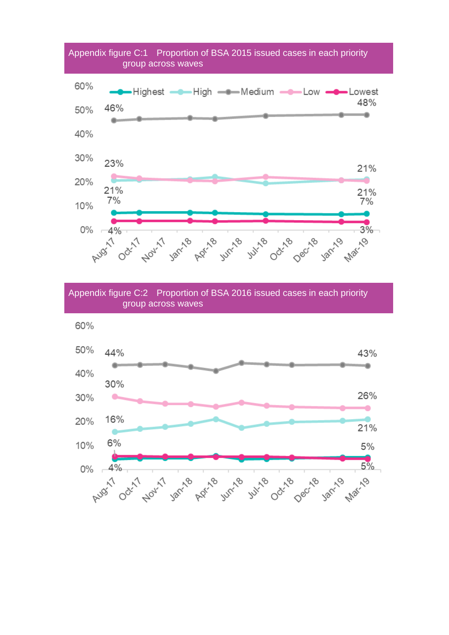

Appendix figure C:2 Proportion of BSA 2016 issued cases in each priority group across waves

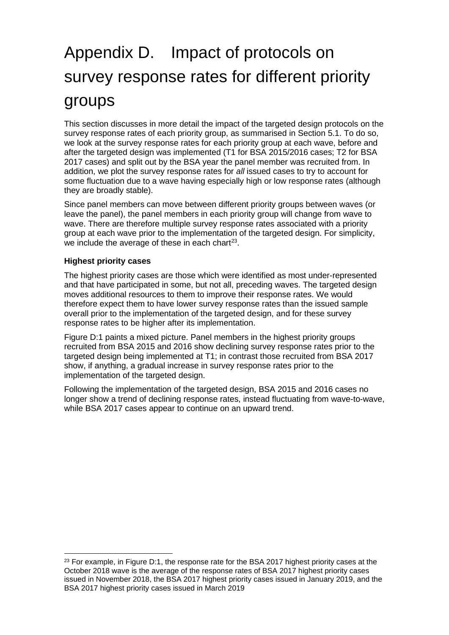# <span id="page-20-0"></span>Appendix D. Impact of protocols on survey response rates for different priority groups

This section discusses in more detail the impact of the targeted design protocols on the survey response rates of each priority group, as summarised in Section [5.1.](#page-7-5) To do so, we look at the survey response rates for each priority group at each wave, before and after the targeted design was implemented (T1 for BSA 2015/2016 cases; T2 for BSA 2017 cases) and split out by the BSA year the panel member was recruited from. In addition, we plot the survey response rates for *all* issued cases to try to account for some fluctuation due to a wave having especially high or low response rates (although they are broadly stable).

Since panel members can move between different priority groups between waves (or leave the panel), the panel members in each priority group will change from wave to wave. There are therefore multiple survey response rates associated with a priority group at each wave prior to the implementation of the targeted design. For simplicity, we include the average of these in each chart $23$ .

#### **Highest priority cases**

The highest priority cases are those which were identified as most under-represented and that have participated in some, but not all, preceding waves. The targeted design moves additional resources to them to improve their response rates. We would therefore expect them to have lower survey response rates than the issued sample overall prior to the implementation of the targeted design, and for these survey response rates to be higher after its implementation.

Figure D:1 paints a mixed picture. Panel members in the highest priority groups recruited from BSA 2015 and 2016 show declining survey response rates prior to the targeted design being implemented at T1; in contrast those recruited from BSA 2017 show, if anything, a gradual increase in survey response rates prior to the implementation of the targeted design.

Following the implementation of the targeted design, BSA 2015 and 2016 cases no longer show a trend of declining response rates, instead fluctuating from wave-to-wave, while BSA 2017 cases appear to continue on an upward trend.

<span id="page-20-1"></span><sup>&</sup>lt;sup>23</sup> For example, in Figure D:1, the response rate for the BSA 2017 highest priority cases at the October 2018 wave is the average of the response rates of BSA 2017 highest priority cases issued in November 2018, the BSA 2017 highest priority cases issued in January 2019, and the BSA 2017 highest priority cases issued in March 2019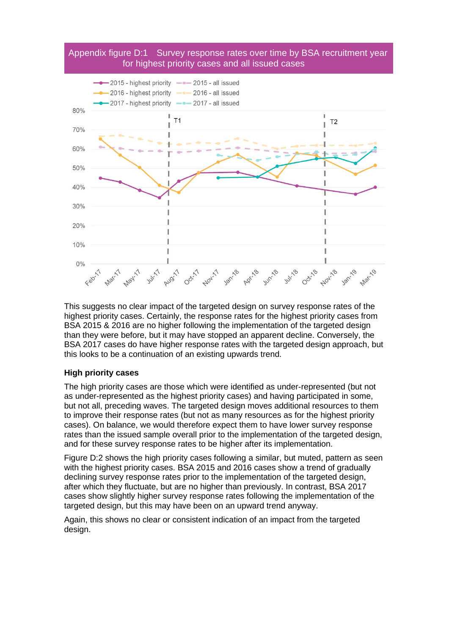#### Appendix figure D:1 Survey response rates over time by BSA recruitment year for highest priority cases and all issued cases



This suggests no clear impact of the targeted design on survey response rates of the highest priority cases. Certainly, the response rates for the highest priority cases from BSA 2015 & 2016 are no higher following the implementation of the targeted design than they were before, but it may have stopped an apparent decline. Conversely, the BSA 2017 cases do have higher response rates with the targeted design approach, but this looks to be a continuation of an existing upwards trend.

#### **High priority cases**

The high priority cases are those which were identified as under-represented (but not as under-represented as the highest priority cases) and having participated in some, but not all, preceding waves. The targeted design moves additional resources to them to improve their response rates (but not as many resources as for the highest priority cases). On balance, we would therefore expect them to have lower survey response rates than the issued sample overall prior to the implementation of the targeted design, and for these survey response rates to be higher after its implementation.

Figure D:2 shows the high priority cases following a similar, but muted, pattern as seen with the highest priority cases. BSA 2015 and 2016 cases show a trend of gradually declining survey response rates prior to the implementation of the targeted design, after which they fluctuate, but are no higher than previously. In contrast, BSA 2017 cases show slightly higher survey response rates following the implementation of the targeted design, but this may have been on an upward trend anyway.

Again, this shows no clear or consistent indication of an impact from the targeted design.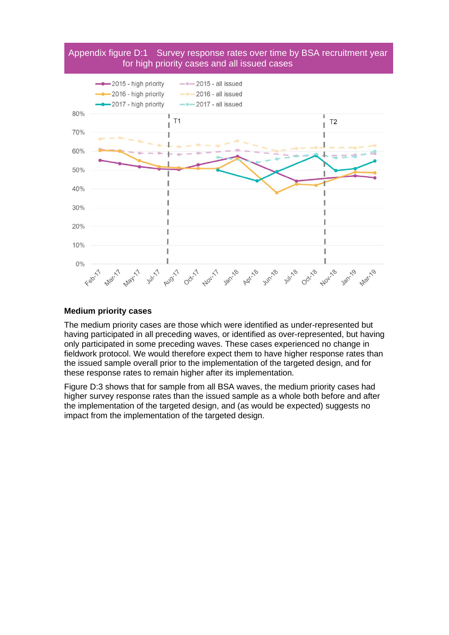#### Appendix figure D:1 Survey response rates over time by BSA recruitment year for high priority cases and all issued cases



#### **Medium priority cases**

The medium priority cases are those which were identified as under-represented but having participated in all preceding waves, or identified as over-represented, but having only participated in some preceding waves. These cases experienced no change in fieldwork protocol. We would therefore expect them to have higher response rates than the issued sample overall prior to the implementation of the targeted design, and for these response rates to remain higher after its implementation.

Figure D:3 shows that for sample from all BSA waves, the medium priority cases had higher survey response rates than the issued sample as a whole both before and after the implementation of the targeted design, and (as would be expected) suggests no impact from the implementation of the targeted design.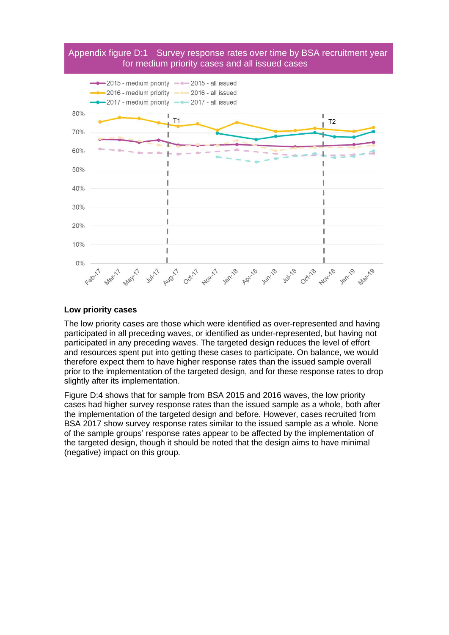#### Appendix figure D:1 Survey response rates over time by BSA recruitment year for medium priority cases and all issued cases



#### **Low priority cases**

The low priority cases are those which were identified as over-represented and having participated in all preceding waves, or identified as under-represented, but having not participated in any preceding waves. The targeted design reduces the level of effort and resources spent put into getting these cases to participate. On balance, we would therefore expect them to have higher response rates than the issued sample overall prior to the implementation of the targeted design, and for these response rates to drop slightly after its implementation.

Figure D:4 shows that for sample from BSA 2015 and 2016 waves, the low priority cases had higher survey response rates than the issued sample as a whole, both after the implementation of the targeted design and before. However, cases recruited from BSA 2017 show survey response rates similar to the issued sample as a whole. None of the sample groups' response rates appear to be affected by the implementation of the targeted design, though it should be noted that the design aims to have minimal (negative) impact on this group.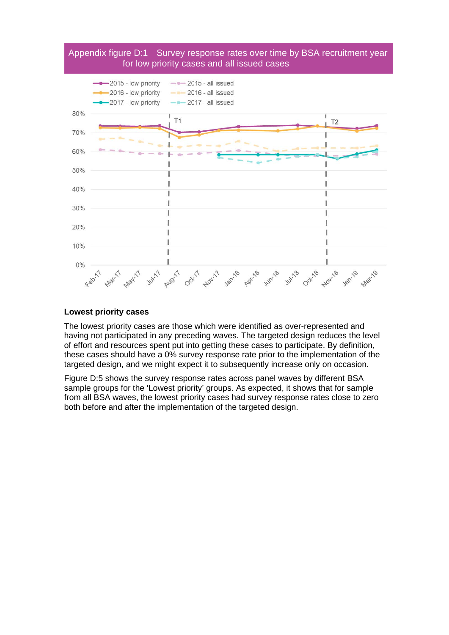



#### **Lowest priority cases**

The lowest priority cases are those which were identified as over-represented and having not participated in any preceding waves. The targeted design reduces the level of effort and resources spent put into getting these cases to participate. By definition, these cases should have a 0% survey response rate prior to the implementation of the targeted design, and we might expect it to subsequently increase only on occasion.

Figure D:5 shows the survey response rates across panel waves by different BSA sample groups for the 'Lowest priority' groups. As expected, it shows that for sample from all BSA waves, the lowest priority cases had survey response rates close to zero both before and after the implementation of the targeted design.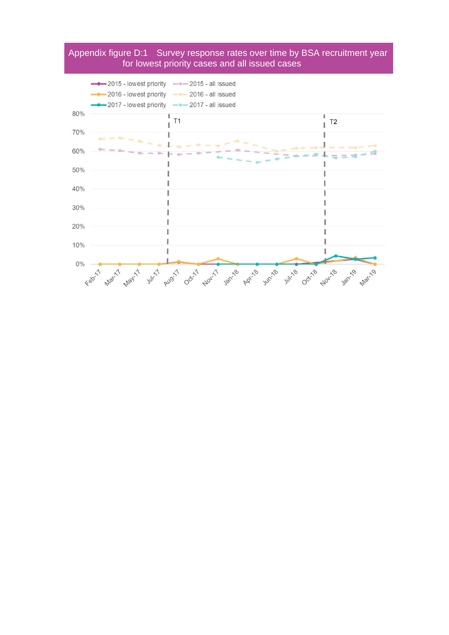#### Appendix figure D:1 Survey response rates over time by BSA recruitment year for lowest priority cases and all issued cases

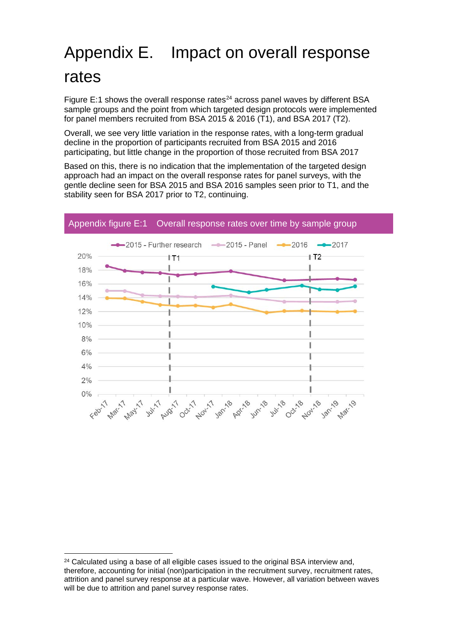# <span id="page-26-0"></span>Appendix E. Impact on overall response rates

Figure E:1 shows the overall response rates $^{24}$  $^{24}$  $^{24}$  across panel waves by different BSA sample groups and the point from which targeted design protocols were implemented for panel members recruited from BSA 2015 & 2016 (T1), and BSA 2017 (T2).

Overall, we see very little variation in the response rates, with a long-term gradual decline in the proportion of participants recruited from BSA 2015 and 2016 participating, but little change in the proportion of those recruited from BSA 2017

Based on this, there is no indication that the implementation of the targeted design approach had an impact on the overall response rates for panel surveys, with the gentle decline seen for BSA 2015 and BSA 2016 samples seen prior to T1, and the stability seen for BSA 2017 prior to T2, continuing.



<span id="page-26-1"></span> $24$  Calculated using a base of all eligible cases issued to the original BSA interview and, therefore, accounting for initial (non)participation in the recruitment survey, recruitment rates, attrition and panel survey response at a particular wave. However, all variation between waves will be due to attrition and panel survey response rates.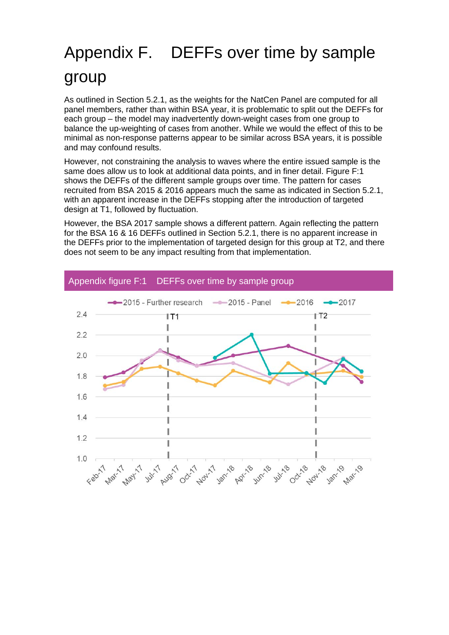# <span id="page-27-0"></span>Appendix F. DEFFs over time by sample group

As outlined in Section [5.2.1,](#page-8-3) as the weights for the NatCen Panel are computed for all panel members, rather than within BSA year, it is problematic to split out the DEFFs for each group – the model may inadvertently down-weight cases from one group to balance the up-weighting of cases from another. While we would the effect of this to be minimal as non-response patterns appear to be similar across BSA years, it is possible and may confound results.

However, not constraining the analysis to waves where the entire issued sample is the same does allow us to look at additional data points, and in finer detail. Figure F:1 shows the DEFFs of the different sample groups over time. The pattern for cases recruited from BSA 2015 & 2016 appears much the same as indicated in Section [5.2.1,](#page-8-3) with an apparent increase in the DEFFs stopping after the introduction of targeted design at T1, followed by fluctuation.

However, the BSA 2017 sample shows a different pattern. Again reflecting the pattern for the BSA 16 & 16 DEFFs outlined in Section [5.2.1,](#page-8-3) there is no apparent increase in the DEFFs prior to the implementation of targeted design for this group at T2, and there does not seem to be any impact resulting from that implementation.



#### Appendix figure F:1 DEFFs over time by sample group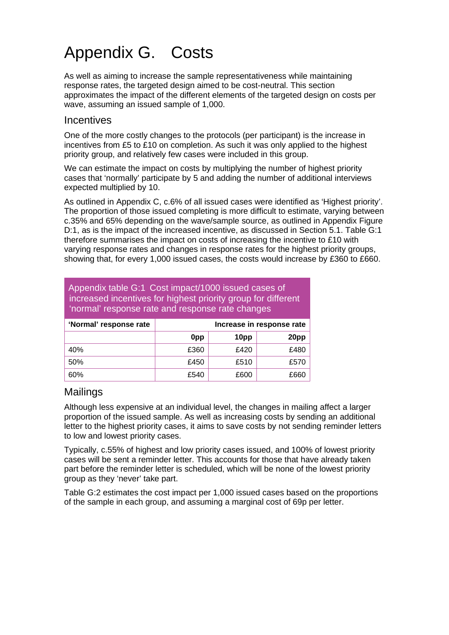# <span id="page-28-0"></span>Appendix G. Costs

As well as aiming to increase the sample representativeness while maintaining response rates, the targeted design aimed to be cost-neutral. This section approximates the impact of the different elements of the targeted design on costs per wave, assuming an issued sample of 1,000.

#### Incentives

One of the more costly changes to the protocols (per participant) is the increase in incentives from £5 to  $£10$  on completion. As such it was only applied to the highest priority group, and relatively few cases were included in this group.

We can estimate the impact on costs by multiplying the number of highest priority cases that 'normally' participate by 5 and adding the number of additional interviews expected multiplied by 10.

As outlined in [Appendix C,](#page-18-0) c.6% of all issued cases were identified as 'Highest priority'. The proportion of those issued completing is more difficult to estimate, varying between c.35% and 65% depending on the wave/sample source, as outlined in Appendix Figure D:1, as is the impact of the increased incentive, as discussed in Section [5.1.](#page-7-5) Table G:1 therefore summarises the impact on costs of increasing the incentive to £10 with varying response rates and changes in response rates for the highest priority groups, showing that, for every 1,000 issued cases, the costs would increase by £360 to £660.

| Appendix table G:1 Cost impact/1000 issued cases of<br>increased incentives for highest priority group for different<br>'normal' response rate and response rate changes |                           |      |      |  |  |  |
|--------------------------------------------------------------------------------------------------------------------------------------------------------------------------|---------------------------|------|------|--|--|--|
| 'Normal' response rate                                                                                                                                                   | Increase in response rate |      |      |  |  |  |
|                                                                                                                                                                          | 10pp<br>20pp<br>0pp       |      |      |  |  |  |
| 40%                                                                                                                                                                      | £360                      | £420 | £480 |  |  |  |
| 50%                                                                                                                                                                      | £450                      | £510 | £570 |  |  |  |
| 60%                                                                                                                                                                      | £540<br>£600<br>£660      |      |      |  |  |  |

#### Mailings

Although less expensive at an individual level, the changes in mailing affect a larger proportion of the issued sample. As well as increasing costs by sending an additional letter to the highest priority cases, it aims to save costs by not sending reminder letters to low and lowest priority cases.

Typically, c.55% of highest and low priority cases issued, and 100% of lowest priority cases will be sent a reminder letter. This accounts for those that have already taken part before the reminder letter is scheduled, which will be none of the lowest priority group as they 'never' take part.

Table G:2 estimates the cost impact per 1,000 issued cases based on the proportions of the sample in each group, and assuming a marginal cost of 69p per letter.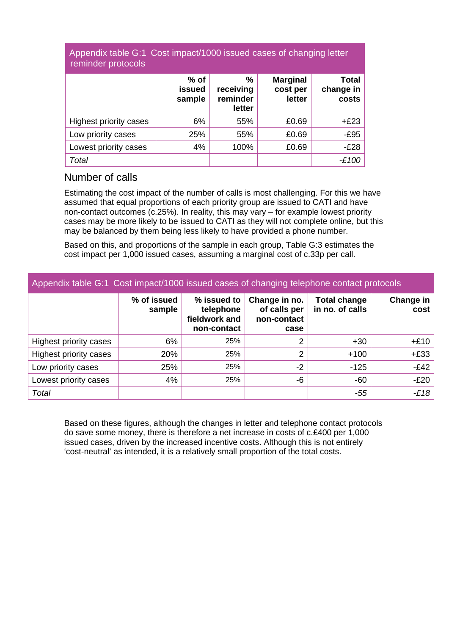#### Appendix table G:1 Cost impact/1000 issued cases of changing letter reminder protocols

|                               | $%$ of<br><b>issued</b><br>sample | %<br>receiving<br>reminder<br>letter | <b>Marginal</b><br>cost per<br>letter | <b>Total</b><br>change in<br>costs |
|-------------------------------|-----------------------------------|--------------------------------------|---------------------------------------|------------------------------------|
| <b>Highest priority cases</b> | 6%                                | 55%                                  | £0.69                                 | $+£23$                             |
| Low priority cases            | 25%                               | 55%                                  | £0.69                                 | $-E95$                             |
| Lowest priority cases         | 4%                                | 100%                                 | £0.69                                 | $-E28$                             |
| Total                         |                                   |                                      |                                       | $-£100$                            |

#### Number of calls

Estimating the cost impact of the number of calls is most challenging. For this we have assumed that equal proportions of each priority group are issued to CATI and have non-contact outcomes (c.25%). In reality, this may vary – for example lowest priority cases may be more likely to be issued to CATI as they will not complete online, but this may be balanced by them being less likely to have provided a phone number.

Based on this, and proportions of the sample in each group, Table G:3 estimates the cost impact per 1,000 issued cases, assuming a marginal cost of c.33p per call.

| Appendix table G:1 Cost impact/1000 issued cases of changing telephone contact protocols |                       |                                                          |                                                      |                                        |                   |  |
|------------------------------------------------------------------------------------------|-----------------------|----------------------------------------------------------|------------------------------------------------------|----------------------------------------|-------------------|--|
|                                                                                          | % of issued<br>sample | % issued to<br>telephone<br>fieldwork and<br>non-contact | Change in no.<br>of calls per<br>non-contact<br>case | <b>Total change</b><br>in no. of calls | Change in<br>cost |  |
| Highest priority cases                                                                   | 6%                    | 25%                                                      | 2                                                    | $+30$                                  | $+£10$            |  |
| Highest priority cases                                                                   | 20%                   | 25%                                                      | 2                                                    | $+100$                                 | $+£33$            |  |
| Low priority cases                                                                       | 25%                   | 25%                                                      | $-2$                                                 | $-125$                                 | $-E42$            |  |
| Lowest priority cases                                                                    | 4%                    | 25%                                                      | -6                                                   | $-60$                                  | $-E20$            |  |
| Total                                                                                    |                       |                                                          |                                                      | $-55$                                  | $-E18$            |  |

Based on these figures, although the changes in letter and telephone contact protocols do save some money, there is therefore a net increase in costs of c.£400 per 1,000 issued cases, driven by the increased incentive costs. Although this is not entirely 'cost-neutral' as intended, it is a relatively small proportion of the total costs.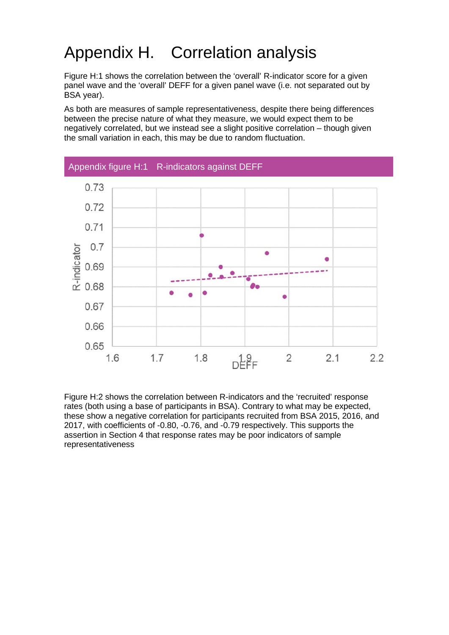# Appendix H. Correlation analysis

Figure H:1 shows the correlation between the 'overall' R-indicator score for a given panel wave and the 'overall' DEFF for a given panel wave (i.e. not separated out by BSA year).

As both are measures of sample representativeness, despite there being differences between the precise nature of what they measure, we would expect them to be negatively correlated, but we instead see a slight positive correlation – though given the small variation in each, this may be due to random fluctuation.



Figure H:2 shows the correlation between R-indicators and the 'recruited' response rates (both using a base of participants in BSA). Contrary to what may be expected, these show a negative correlation for participants recruited from BSA 2015, 2016, and 2017, with coefficients of -0.80, -0.76, and -0.79 respectively. This supports the assertion in Section [4](#page-6-6) that response rates may be poor indicators of sample representativeness